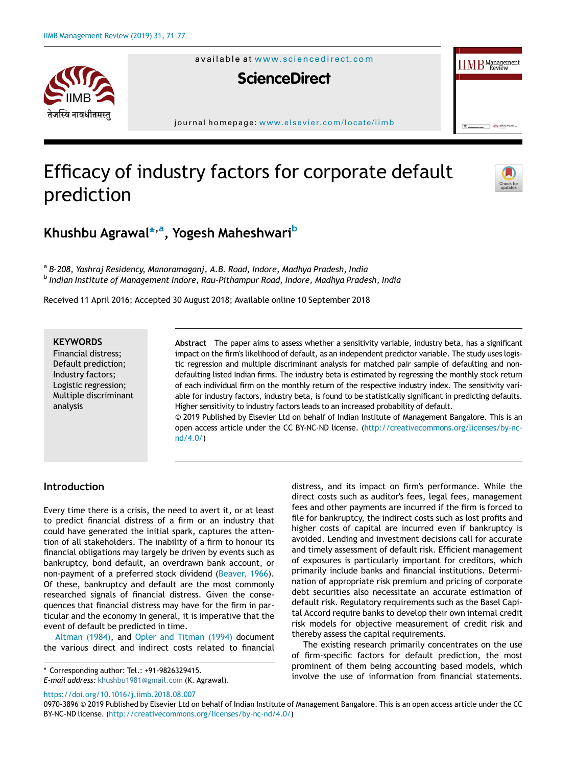

available at [www.sciencedirect.com](http://www.ScienceDirect.com)

# **ScienceDirect**

journal homepage: [www.elsevier.com/locate/iimb](http://www.elsevier.com/locate/iimb)

# Efficacy of industry factors for corporate default prediction



 $\sum_{n=1}^{\infty}$ 

 $\text{IIMB}_{\text{Review}}^{\text{Management}}$ 

# Khushbu Agrawal\*<sup>[,a](#page-0-0)</sup>, Yogesh Maheshwari<sup>[b](#page-0-1)</sup>

<span id="page-0-1"></span><span id="page-0-0"></span><sup>a</sup> B-208, Yashraj Residency, Manoramaganj, A.B. Road, Indore, Madhya Pradesh, India <sup>b</sup> Indian Institute of Management Indore, Rau-Pithampur Road, Indore, Madhya Pradesh, India

Received 11 April 2016; Accepted 30 August 2018; Available online 10 September 2018

## **KEYWORDS**

Financial distress; Default prediction; Industry factors; Logistic regression; Multiple discriminant analysis

Abstract The paper aims to assess whether a sensitivity variable, industry beta, has a significant impact on the firm's likelihood of default, as an independent predictor variable. The study uses logistic regression and multiple discriminant analysis for matched pair sample of defaulting and nondefaulting listed Indian firms. The industry beta is estimated by regressing the monthly stock return of each individual firm on the monthly return of the respective industry index. The sensitivity variable for industry factors, industry beta, is found to be statistically significant in predicting defaults. Higher sensitivity to industry factors leads to an increased probability of default.

© 2019 Published by Elsevier Ltd on behalf of Indian Institute of Management Bangalore. This is an open access article under the CC BY-NC-ND license. [\(http://creativecommons.org/licenses/by-nc](http://creativecommons.org/licenses/by-nc-nd/4.0/)[nd/4.0/](http://creativecommons.org/licenses/by-nc-nd/4.0/))

#### Introduction

Every time there is a crisis, the need to avert it, or at least to predict financial distress of a firm or an industry that could have generated the initial spark, captures the attention of all stakeholders. The inability of a firm to honour its financial obligations may largely be driven by events such as bankruptcy, bond default, an overdrawn bank account, or non-payment of a preferred stock dividend ([Beaver, 1966\)](#page-6-0). Of these, bankruptcy and default are the most commonly researched signals of financial distress. Given the consequences that financial distress may have for the firm in particular and the economy in general, it is imperative that the event of default be predicted in time.

[Altman \(1984\),](#page-6-1) and [Opler and Titman \(1994\)](#page-6-2) document the various direct and indirect costs related to financial

<https://doi.org/10.1016/j.iimb.2018.08.007>

distress, and its impact on firm's performance. While the direct costs such as auditor's fees, legal fees, management fees and other payments are incurred if the firm is forced to file for bankruptcy, the indirect costs such as lost profits and higher costs of capital are incurred even if bankruptcy is avoided. Lending and investment decisions call for accurate and timely assessment of default risk. Efficient management of exposures is particularly important for creditors, which primarily include banks and financial institutions. Determination of appropriate risk premium and pricing of corporate debt securities also necessitate an accurate estimation of default risk. Regulatory requirements such as the Basel Capital Accord require banks to develop their own internal credit risk models for objective measurement of credit risk and thereby assess the capital requirements.

The existing research primarily concentrates on the use of firm-specific factors for default prediction, the most prominent of them being accounting based models, which involve the use of information from financial statements. \* Corresponding author: Tel.: +91-9826329415.

E-mail address: [khushbu1981@gmail.com](mailto:khushbu1981@gmail.com) (K. Agrawal).

<sup>0970-3896 © 2019</sup> Published by Elsevier Ltd on behalf of Indian Institute of Management Bangalore. This is an open access article under the CC BY-NC-ND license. (<http://creativecommons.org/licenses/by-nc-nd/4.0/>)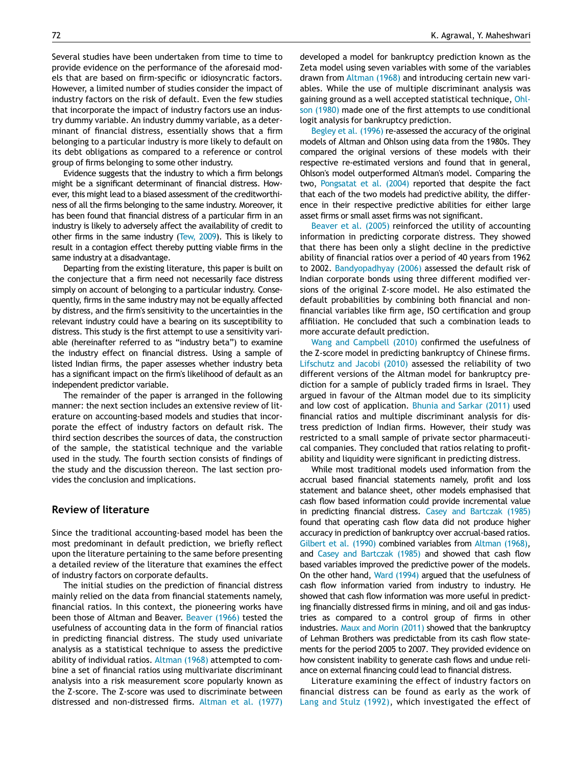Several studies have been undertaken from time to time to provide evidence on the performance of the aforesaid models that are based on firm-specific or idiosyncratic factors. However, a limited number of studies consider the impact of industry factors on the risk of default. Even the few studies that incorporate the impact of industry factors use an industry dummy variable. An industry dummy variable, as a determinant of financial distress, essentially shows that a firm belonging to a particular industry is more likely to default on its debt obligations as compared to a reference or control group of firms belonging to some other industry.

Evidence suggests that the industry to which a firm belongs might be a significant determinant of financial distress. However, this might lead to a biased assessment of the creditworthiness of all the firms belonging to the same industry. Moreover, it has been found that financial distress of a particular firm in an industry is likely to adversely affect the availability of credit to other firms in the same industry [\(Tew, 2009](#page-6-3)). This is likely to result in a contagion effect thereby putting viable firms in the same industry at a disadvantage.

Departing from the existing literature, this paper is built on the conjecture that a firm need not necessarily face distress simply on account of belonging to a particular industry. Consequently, firms in the same industry may not be equally affected by distress, and the firm's sensitivity to the uncertainties in the relevant industry could have a bearing on its susceptibility to distress. This study is the first attempt to use a sensitivity variable (hereinafter referred to as "industry beta") to examine the industry effect on financial distress. Using a sample of listed Indian firms, the paper assesses whether industry beta has a significant impact on the firm's likelihood of default as an independent predictor variable.

The remainder of the paper is arranged in the following manner: the next section includes an extensive review of literature on accounting-based models and studies that incorporate the effect of industry factors on default risk. The third section describes the sources of data, the construction of the sample, the statistical technique and the variable used in the study. The fourth section consists of findings of the study and the discussion thereon. The last section provides the conclusion and implications.

# Review of literature

Since the traditional accounting-based model has been the most predominant in default prediction, we briefly reflect upon the literature pertaining to the same before presenting a detailed review of the literature that examines the effect of industry factors on corporate defaults.

The initial studies on the prediction of financial distress mainly relied on the data from financial statements namely, financial ratios. In this context, the pioneering works have been those of Altman and Beaver. [Beaver \(1966\)](#page-6-0) tested the usefulness of accounting data in the form of financial ratios in predicting financial distress. The study used univariate analysis as a statistical technique to assess the predictive ability of individual ratios. [Altman \(1968\)](#page-6-4) attempted to combine a set of financial ratios using multivariate discriminant analysis into a risk measurement score popularly known as the Z-score. The Z-score was used to discriminate between distressed and non-distressed firms. [Altman et al. \(1977\)](#page-6-5) developed a model for bankruptcy prediction known as the Zeta model using seven variables with some of the variables drawn from [Altman \(1968\)](#page-6-4) and introducing certain new variables. While the use of multiple discriminant analysis was gaining ground as a well accepted statistical technique, [Ohl](#page-6-6)[son \(1980\)](#page-6-6) made one of the first attempts to use conditional logit analysis for bankruptcy prediction.

[Begley et al. \(1996\)](#page-6-7) re-assessed the accuracy of the original models of Altman and Ohlson using data from the 1980s. They compared the original versions of these models with their respective re-estimated versions and found that in general, Ohlson's model outperformed Altman's model. Comparing the two, [Pongsatat et al. \(2004\)](#page-6-8) reported that despite the fact that each of the two models had predictive ability, the difference in their respective predictive abilities for either large asset firms or small asset firms was not significant.

[Beaver et al. \(2005\)](#page-6-9) reinforced the utility of accounting information in predicting corporate distress. They showed that there has been only a slight decline in the predictive ability of financial ratios over a period of 40 years from 1962 to 2002. [Bandyopadhyay \(2006\)](#page-6-10) assessed the default risk of Indian corporate bonds using three different modified versions of the original Z-score model. He also estimated the default probabilities by combining both financial and nonfinancial variables like firm age, ISO certification and group affiliation. He concluded that such a combination leads to more accurate default prediction.

[Wang and Campbell \(2010\)](#page-6-11) confirmed the usefulness of the Z-score model in predicting bankruptcy of Chinese firms. [Lifschutz and Jacobi \(2010\)](#page-6-12) assessed the reliability of two different versions of the Altman model for bankruptcy prediction for a sample of publicly traded firms in Israel. They argued in favour of the Altman model due to its simplicity and low cost of application. [Bhunia and Sarkar \(2011\)](#page-6-13) used financial ratios and multiple discriminant analysis for distress prediction of Indian firms. However, their study was restricted to a small sample of private sector pharmaceutical companies. They concluded that ratios relating to profitability and liquidity were significant in predicting distress.

While most traditional models used information from the accrual based financial statements namely, profit and loss statement and balance sheet, other models emphasised that cash flow based information could provide incremental value in predicting financial distress. [Casey and Bartczak \(1985\)](#page-6-14) found that operating cash flow data did not produce higher accuracy in prediction of bankruptcy over accrual-based ratios. [Gilbert et al. \(1990\)](#page-6-15) combined variables from [Altman \(1968\),](#page-6-4) and [Casey and Bartczak \(1985\)](#page-6-14) and showed that cash flow based variables improved the predictive power of the models. On the other hand, [Ward \(1994\)](#page-6-16) argued that the usefulness of cash flow information varied from industry to industry. He showed that cash flow information was more useful in predicting financially distressed firms in mining, and oil and gas industries as compared to a control group of firms in other industries. [Maux and Morin \(2011\)](#page-6-17) showed that the bankruptcy of Lehman Brothers was predictable from its cash flow statements for the period 2005 to 2007. They provided evidence on how consistent inability to generate cash flows and undue reliance on external financing could lead to financial distress.

Literature examining the effect of industry factors on financial distress can be found as early as the work of [Lang and Stulz \(1992\),](#page-6-18) which investigated the effect of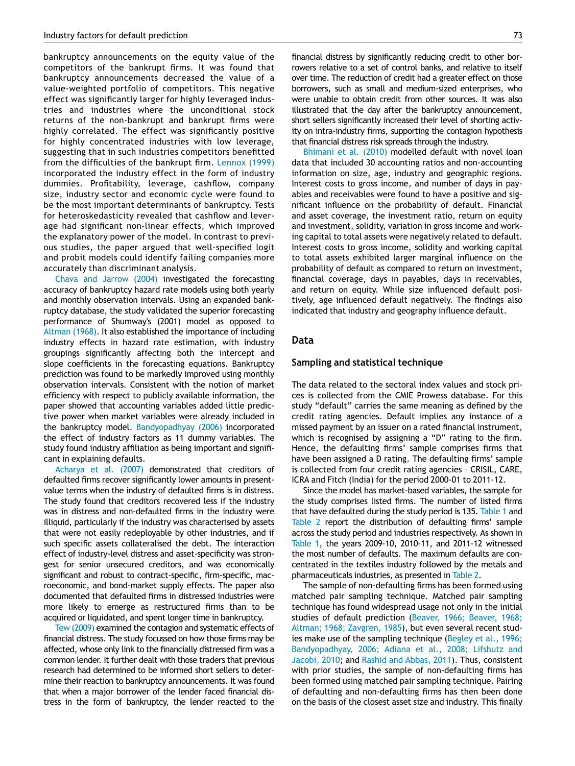bankruptcy announcements on the equity value of the competitors of the bankrupt firms. It was found that bankruptcy announcements decreased the value of a value-weighted portfolio of competitors. This negative effect was significantly larger for highly leveraged industries and industries where the unconditional stock returns of the non-bankrupt and bankrupt firms were highly correlated. The effect was significantly positive for highly concentrated industries with low leverage, suggesting that in such industries competitors benefitted from the difficulties of the bankrupt firm. [Lennox \(1999\)](#page-6-19) incorporated the industry effect in the form of industry dummies. Profitability, leverage, cashflow, company size, industry sector and economic cycle were found to be the most important determinants of bankruptcy. Tests for heteroskedasticity revealed that cashflow and leverage had significant non-linear effects, which improved the explanatory power of the model. In contrast to previous studies, the paper argued that well-specified logit and probit models could identify failing companies more accurately than discriminant analysis.

[Chava and Jarrow \(2004\)](#page-6-20) investigated the forecasting accuracy of bankruptcy hazard rate models using both yearly and monthly observation intervals. Using an expanded bankruptcy database, the study validated the superior forecasting performance of Shumway's (2001) model as opposed to [Altman \(1968\)](#page-6-4). It also established the importance of including industry effects in hazard rate estimation, with industry groupings significantly affecting both the intercept and slope coefficients in the forecasting equations. Bankruptcy prediction was found to be markedly improved using monthly observation intervals. Consistent with the notion of market efficiency with respect to publicly available information, the paper showed that accounting variables added little predictive power when market variables were already included in the bankruptcy model. [Bandyopadhyay \(2006\)](#page-6-10) incorporated the effect of industry factors as 11 dummy variables. The study found industry affiliation as being important and significant in explaining defaults.

[Acharya et al. \(2007\)](#page-6-21) demonstrated that creditors of defaulted firms recover significantly lower amounts in presentvalue terms when the industry of defaulted firms is in distress. The study found that creditors recovered less if the industry was in distress and non-defaulted firms in the industry were illiquid, particularly if the industry was characterised by assets that were not easily redeployable by other industries, and if such specific assets collateralised the debt. The interaction effect of industry-level distress and asset-specificity was strongest for senior unsecured creditors, and was economically significant and robust to contract-specific, firm-specific, macroeconomic, and bond-market supply effects. The paper also documented that defaulted firms in distressed industries were more likely to emerge as restructured firms than to be acquired or liquidated, and spent longer time in bankruptcy.

[Tew \(2009\)](#page-6-3) examined the contagion and systematic effects of financial distress. The study focussed on how those firms may be affected, whose only link to the financially distressed firm was a common lender. It further dealt with those traders that previous research had determined to be informed short sellers to determine their reaction to bankruptcy announcements. It was found that when a major borrower of the lender faced financial distress in the form of bankruptcy, the lender reacted to the financial distress by significantly reducing credit to other borrowers relative to a set of control banks, and relative to itself over time. The reduction of credit had a greater effect on those borrowers, such as small and medium-sized enterprises, who were unable to obtain credit from other sources. It was also illustrated that the day after the bankruptcy announcement, short sellers significantly increased their level of shorting activity on intra-industry firms, supporting the contagion hypothesis that financial distress risk spreads through the industry.

[Bhimani et al. \(2010\)](#page-6-22) modelled default with novel loan data that included 30 accounting ratios and non-accounting information on size, age, industry and geographic regions. Interest costs to gross income, and number of days in payables and receivables were found to have a positive and significant influence on the probability of default. Financial and asset coverage, the investment ratio, return on equity and investment, solidity, variation in gross income and working capital to total assets were negatively related to default. Interest costs to gross income, solidity and working capital to total assets exhibited larger marginal influence on the probability of default as compared to return on investment, financial coverage, days in payables, days in receivables, and return on equity. While size influenced default positively, age influenced default negatively. The findings also indicated that industry and geography influence default.

### Data

#### Sampling and statistical technique

The data related to the sectoral index values and stock prices is collected from the CMIE Prowess database. For this study "default" carries the same meaning as defined by the credit rating agencies. Default implies any instance of a missed payment by an issuer on a rated financial instrument, which is recognised by assigning a "D" rating to the firm. Hence, the defaulting firms' sample comprises firms that have been assigned a D rating. The defaulting firms' sample is collected from four credit rating agencies – CRISIL, CARE, ICRA and Fitch (India) for the period 2000-01 to 2011-12.

Since the model has market-based variables, the sample for the study comprises listed firms. The number of listed firms that have defaulted during the study period is 135. [Table 1](#page-3-0) and [Table 2](#page-3-1) report the distribution of defaulting firms' sample across the study period and industries respectively. As shown in [Table 1,](#page-3-0) the years 2009-10, 2010-11, and 2011-12 witnessed the most number of defaults. The maximum defaults are concentrated in the textiles industry followed by the metals and pharmaceuticals industries, as presented in [Table 2.](#page-3-1)

The sample of non-defaulting firms has been formed using matched pair sampling technique. Matched pair sampling technique has found widespread usage not only in the initial studies of default prediction ([Beaver, 1966; Beaver, 1968;](#page-6-0) [Altman; 1968; Zavgren, 1985](#page-6-0)), but even several recent studies make use of the sampling technique ([Begley et al., 1996;](#page-6-7) [Bandyopadhyay, 2006; Adiana et al., 2008; Lifshutz and](#page-6-7) [Jacobi, 2010](#page-6-7); and [Rashid and Abbas, 2011\)](#page-6-23). Thus, consistent with prior studies, the sample of non-defaulting firms has been formed using matched pair sampling technique. Pairing of defaulting and non-defaulting firms has then been done on the basis of the closest asset size and industry. This finally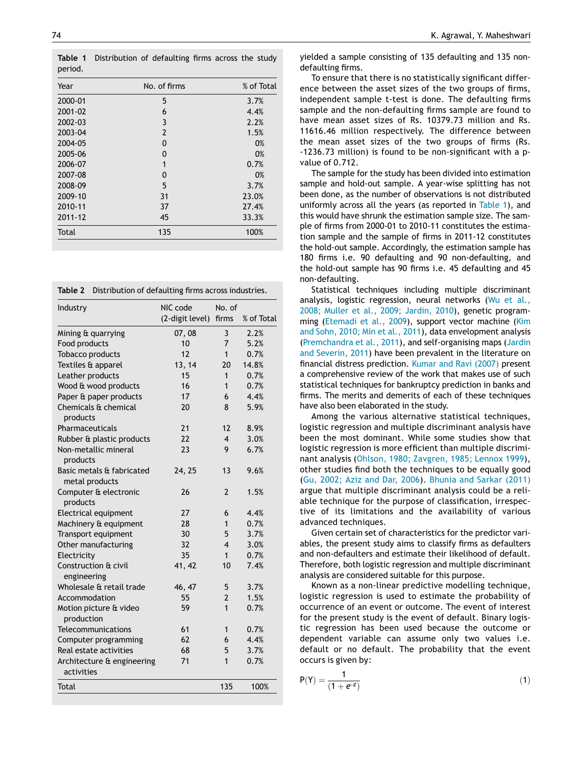<span id="page-3-0"></span>Table 1 Distribution of defaulting firms across the study period.

| Year    | No. of firms   | % of Total |
|---------|----------------|------------|
| 2000-01 | 5              | 3.7%       |
| 2001-02 | 6              | 4.4%       |
| 2002-03 | 3              | 2.2%       |
| 2003-04 | $\overline{2}$ | 1.5%       |
| 2004-05 | 0              | 0%         |
| 2005-06 | 0              | 0%         |
| 2006-07 | 1              | 0.7%       |
| 2007-08 | 0              | 0%         |
| 2008-09 | 5              | 3.7%       |
| 2009-10 | 31             | 23.0%      |
| 2010-11 | 37             | 27.4%      |
| 2011-12 | 45             | 33.3%      |
| Total   | 135            | 100%       |

<span id="page-3-1"></span>

| Table 2<br>Distribution of defaulting firms across industries. |                             |                         |            |  |  |
|----------------------------------------------------------------|-----------------------------|-------------------------|------------|--|--|
| Industry                                                       | NIC code<br>(2-digit level) | No. of<br>firms         | % of Total |  |  |
| Mining & quarrying                                             | 07,08                       | 3                       | 2.2%       |  |  |
| Food products                                                  | 10                          | 7                       | 5.2%       |  |  |
| Tobacco products                                               | 12                          | $\mathbf{1}$            | 0.7%       |  |  |
| Textiles & apparel                                             | 13, 14                      | 20                      | 14.8%      |  |  |
| Leather products                                               | 15                          | 1                       | 0.7%       |  |  |
| Wood & wood products                                           | 16                          | 1                       | 0.7%       |  |  |
| Paper & paper products                                         | 17                          | 6                       | 4.4%       |  |  |
| Chemicals & chemical<br>products                               | 20                          | 8                       | 5.9%       |  |  |
| Pharmaceuticals                                                | 21                          | 12                      | 8.9%       |  |  |
| Rubber & plastic products                                      | 22                          | $\overline{\mathbf{4}}$ | 3.0%       |  |  |
| Non-metallic mineral<br>products                               | 23                          | 9                       | 6.7%       |  |  |
| Basic metals & fabricated<br>metal products                    | 24, 25                      | 13                      | 9.6%       |  |  |
| Computer & electronic<br>products                              | 26                          | $\mathcal{P}$           | 1.5%       |  |  |
| Electrical equipment                                           | 27                          | 6                       | 4.4%       |  |  |
| Machinery & equipment                                          | 28                          | $\mathbf{1}$            | 0.7%       |  |  |
| Transport equipment                                            | 30                          | 5                       | 3.7%       |  |  |
| Other manufacturing                                            | 32                          | $\overline{\mathbf{4}}$ | 3.0%       |  |  |
| Electricity                                                    | 35                          | $\mathbf{1}$            | 0.7%       |  |  |
| Construction & civil<br>engineering                            | 41, 42                      | 10                      | 7.4%       |  |  |
| Wholesale & retail trade                                       | 46, 47                      | 5                       | 3.7%       |  |  |
| Accommodation                                                  | 55                          | $\overline{2}$          | 1.5%       |  |  |
| Motion picture & video<br>production                           | 59                          | $\mathbf{1}$            | 0.7%       |  |  |
| Telecommunications                                             | 61                          | 1                       | 0.7%       |  |  |
| Computer programming                                           | 62                          | 6                       | 4.4%       |  |  |
| Real estate activities                                         | 68                          | 5                       | 3.7%       |  |  |
| Architecture & engineering<br>activities                       | 71                          | $\overline{1}$          | 0.7%       |  |  |
| <b>Total</b>                                                   |                             | 135                     | 100%       |  |  |

yielded a sample consisting of 135 defaulting and 135 nondefaulting firms.

To ensure that there is no statistically significant difference between the asset sizes of the two groups of firms, independent sample t-test is done. The defaulting firms sample and the non-defaulting firms sample are found to have mean asset sizes of Rs. 10379.73 million and Rs. 11616.46 million respectively. The difference between the mean asset sizes of the two groups of firms (Rs. -1236.73 million) is found to be non-significant with a pvalue of 0.712.

The sample for the study has been divided into estimation sample and hold-out sample. A year-wise splitting has not been done, as the number of observations is not distributed uniformly across all the years (as reported in [Table 1\)](#page-3-0), and this would have shrunk the estimation sample size. The sample of firms from 2000-01 to 2010-11 constitutes the estimation sample and the sample of firms in 2011-12 constitutes the hold-out sample. Accordingly, the estimation sample has 180 firms i.e. 90 defaulting and 90 non-defaulting, and the hold-out sample has 90 firms i.e. 45 defaulting and 45 non-defaulting.

Statistical techniques including multiple discriminant analysis, logistic regression, neural networks ([Wu et al](#page-6-24)., 2008; Muller et al.[, 2009; Jardin, 2010](#page-6-24)), genetic programming ([Etemadi et al., 2009\)](#page-6-25), support vector machine [\(Kim](#page-6-26) [and Sohn, 2010; Min et al](#page-6-26)., 2011), data envelopment analysis [\(Premchandra et al](#page-6-27)., 2011), and self-organising maps [\(Jardin](#page-6-28) [and Severin, 2011\)](#page-6-28) have been prevalent in the literature on financial distress prediction. [Kumar and Ravi \(2007\)](#page-6-29) present a comprehensive review of the work that makes use of such statistical techniques for bankruptcy prediction in banks and firms. The merits and demerits of each of these techniques have also been elaborated in the study.

Among the various alternative statistical techniques, logistic regression and multiple discriminant analysis have been the most dominant. While some studies show that logistic regression is more efficient than multiple discriminant analysis ([Ohlson, 1980; Zavgren, 1985; Lennox 1999](#page-6-6)), other studies find both the techniques to be equally good [\(Gu, 2002; Aziz and Dar, 2006](#page-6-30)). [Bhunia and Sarkar \(2011\)](#page-6-13) argue that multiple discriminant analysis could be a reliable technique for the purpose of classification, irrespective of its limitations and the availability of various advanced techniques.

Given certain set of characteristics for the predictor variables, the present study aims to classify firms as defaulters and non-defaulters and estimate their likelihood of default. Therefore, both logistic regression and multiple discriminant analysis are considered suitable for this purpose.

Known as a non-linear predictive modelling technique, logistic regression is used to estimate the probability of occurrence of an event or outcome. The event of interest for the present study is the event of default. Binary logistic regression has been used because the outcome or dependent variable can assume only two values i.e. default or no default. The probability that the event occurs is given by:

$$
P(Y) = \frac{1}{(1 + e^{-z})}
$$
 (1)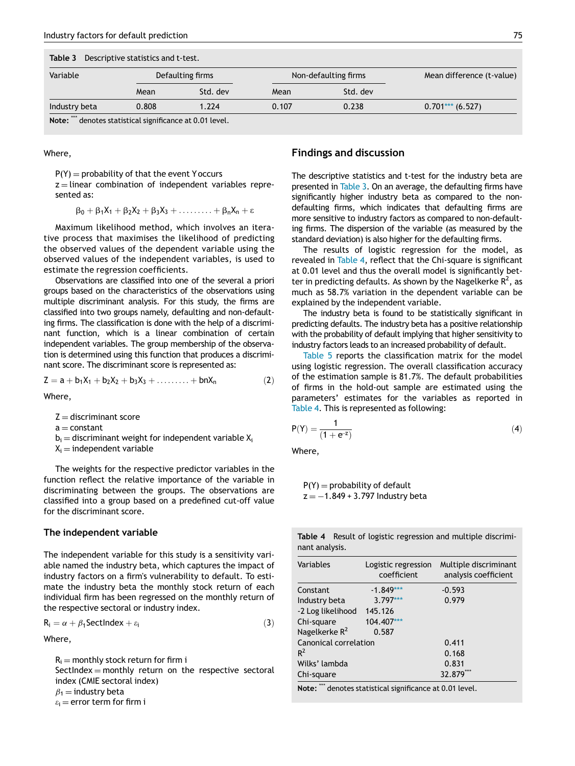## Table 3 Descriptive statistics and t-test.

<span id="page-4-0"></span>

| Variable      |       | Defaulting firms |       | Non-defaulting firms | Mean difference (t-value) |
|---------------|-------|------------------|-------|----------------------|---------------------------|
|               | Mean  | Std. dev         | Mean  | Std. dev             |                           |
| Industry beta | 0.808 | 1.224            | 0.107 | 0.238                | $0.701***$ (6.527)        |

Note: \*\*\* denotes statistical significance at 0.01 level.

Where,

 $P(Y) =$  probability of that the event Y occurs

 $z =$  linear combination of independent variables represented as:

$$
\beta_0+\beta_1X_1+\beta_2X_2+\beta_3X_3+\ldots+\beta_nX_n+\epsilon
$$

Maximum likelihood method, which involves an iterative process that maximises the likelihood of predicting the observed values of the dependent variable using the observed values of the independent variables, is used to estimate the regression coefficients.

Observations are classified into one of the several a priori groups based on the characteristics of the observations using multiple discriminant analysis. For this study, the firms are classified into two groups namely, defaulting and non-defaulting firms. The classification is done with the help of a discriminant function, which is a linear combination of certain independent variables. The group membership of the observation is determined using this function that produces a discriminant score. The discriminant score is represented as:

$$
Z = a + b_1 X_1 + b_2 X_2 + b_3 X_3 + \ldots + b_n X_n \tag{2}
$$

Where,

 $Z =$  discriminant score

 $a$   $-$  constant

 $b_i$  = discriminant weight for independent variable  $X_i$ 

 $X_i$  = independent variable

The weights for the respective predictor variables in the function reflect the relative importance of the variable in discriminating between the groups. The observations are classified into a group based on a predefined cut-off value for the discriminant score.

#### <span id="page-4-1"></span>The independent variable

The independent variable for this study is a sensitivity variable named the industry beta, which captures the impact of industry factors on a firm's vulnerability to default. To estimate the industry beta the monthly stock return of each individual firm has been regressed on the monthly return of the respective sectoral or industry index.

$$
R_i = \alpha + \beta_1 \text{SectIndex} + \varepsilon_i \tag{3}
$$

Where,

 $R_i$  = monthly stock return for firm i SectIndex  $=$  monthly return on the respective sectoral index (CMIE sectoral index)  $\beta_1$  = industry beta  $\varepsilon_i$  = error term for firm i

# Findings and discussion

The descriptive statistics and t-test for the industry beta are presented in [Table 3.](#page-4-0) On an average, the defaulting firms have significantly higher industry beta as compared to the nondefaulting firms, which indicates that defaulting firms are more sensitive to industry factors as compared to non-defaulting firms. The dispersion of the variable (as measured by the standard deviation) is also higher for the defaulting firms.

The results of logistic regression for the model, as revealed in [Table 4,](#page-4-1) reflect that the Chi-square is significant at 0.01 level and thus the overall model is significantly better in predicting defaults. As shown by the Nagelkerke  $R^2$ , as much as 58.7% variation in the dependent variable can be explained by the independent variable.

The industry beta is found to be statistically significant in predicting defaults. The industry beta has a positive relationship with the probability of default implying that higher sensitivity to industry factors leads to an increased probability of default.

[Table 5](#page-5-0) reports the classification matrix for the model using logistic regression. The overall classification accuracy of the estimation sample is 81.7%. The default probabilities of firms in the hold-out sample are estimated using the parameters' estimates for the variables as reported in [Table 4](#page-4-1). This is represented as following:

$$
P(Y) = \frac{1}{(1 + e^{-z})}
$$
 (4)

Where,

 $P(Y) =$  probability of default  $z = -1.849 + 3.797$  Industry beta

|                |  | <b>Table 4</b> Result of logistic regression and multiple discrimi- |  |  |
|----------------|--|---------------------------------------------------------------------|--|--|
| nant analysis. |  |                                                                     |  |  |

| Logistic regression<br>coefficient | Multiple discriminant<br>analysis coefficient |
|------------------------------------|-----------------------------------------------|
| $-1.849***$                        | $-0.593$                                      |
| $3.797***$                         | 0.979                                         |
| 145.126                            |                                               |
| 104.407***                         |                                               |
| 0.587                              |                                               |
| Canonical correlation              | 0.411                                         |
|                                    | 0.168                                         |
|                                    | 0.831                                         |
|                                    | 32.879                                        |
|                                    |                                               |

Note: <sup>\*\*\*</sup> denotes statistical significance at 0.01 level.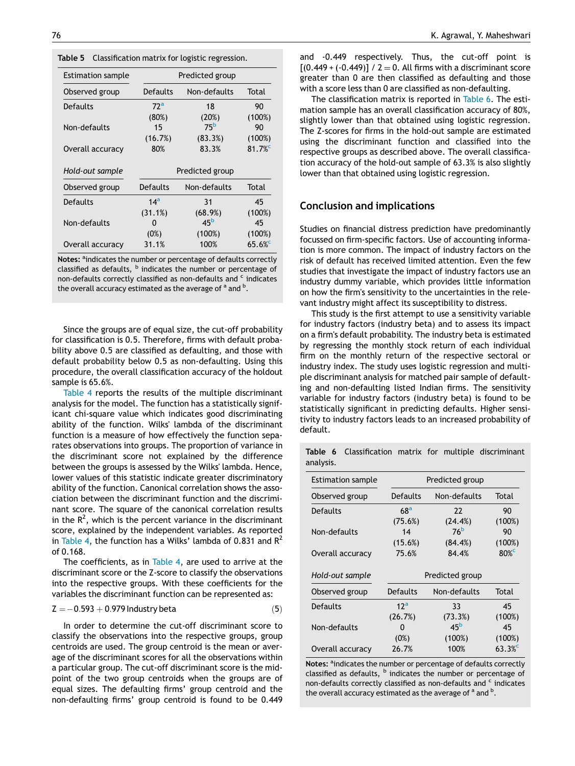| <b>Estimation sample</b> |                       | Predicted group |        |
|--------------------------|-----------------------|-----------------|--------|
| Observed group           | Defaults              | Non-defaults    | Total  |
| Defaults                 | 72 <sup>a</sup><br>18 |                 | 90     |
|                          | (80%)                 | (20%)           | (100%) |
| Non-defaults             | 15                    | 75 <sup>b</sup> | 90     |
|                          | (16.7%)               | (83.3%)         | (100%) |
| Overall accuracy         | 80%                   | 83.3%           | 81.7%  |
|                          |                       |                 |        |
|                          |                       |                 |        |
| Hold-out sample          |                       | Predicted group |        |
| Observed group           | Defaults              | Non-defaults    | Total  |
| Defaults                 | 14 <sup>a</sup>       | 31              | 45     |
|                          | (31.1%)               | (68.9%)         | (100%) |
| Non-defaults             | 0                     | 45 <sup>b</sup> | 45     |
|                          | (0%)                  | (100%)          | (100%) |

<span id="page-5-0"></span>Table 5 Classification matrix for logistic regression.

Notes: <sup>a</sup>indicates the number or percentage of defaults correctly classified as defaults,  $<sup>b</sup>$  indicates the number or percentage of</sup> non-defaults correctly classified as non-defaults and  $\epsilon$  indicates the overall accuracy estimated as the average of <sup>a</sup> and <sup>b</sup>.

Since the groups are of equal size, the cut-off probability for classification is 0.5. Therefore, firms with default probability above 0.5 are classified as defaulting, and those with default probability below 0.5 as non-defaulting. Using this procedure, the overall classification accuracy of the holdout sample is 65.6%.

<span id="page-5-1"></span>[Table 4](#page-4-1) reports the results of the multiple discriminant analysis for the model. The function has a statistically significant chi-square value which indicates good discriminating ability of the function. Wilks' lambda of the discriminant function is a measure of how effectively the function separates observations into groups. The proportion of variance in the discriminant score not explained by the difference between the groups is assessed by the Wilks' lambda. Hence, lower values of this statistic indicate greater discriminatory ability of the function. Canonical correlation shows the association between the discriminant function and the discriminant score. The square of the canonical correlation results in the  $R^2$ , which is the percent variance in the discriminant score, explained by the independent variables. As reported in [Table 4](#page-4-1), the function has a Wilks' lambda of 0.831 and  $R^2$ of 0.168.

The coefficients, as in [Table 4,](#page-4-1) are used to arrive at the discriminant score or the Z-score to classify the observations into the respective groups. With these coefficients for the variables the discriminant function can be represented as:

$$
Z = -0.593 + 0.979 \text{ Industry beta} \tag{5}
$$

In order to determine the cut-off discriminant score to classify the observations into the respective groups, group centroids are used. The group centroid is the mean or average of the discriminant scores for all the observations within a particular group. The cut-off discriminant score is the midpoint of the two group centroids when the groups are of equal sizes. The defaulting firms' group centroid and the non-defaulting firms' group centroid is found to be 0.449 and -0.449 respectively. Thus, the cut-off point is  $[(0.449 + (-0.449)] / 2 = 0$ . All firms with a discriminant score greater than 0 are then classified as defaulting and those with a score less than 0 are classified as non-defaulting.

The classification matrix is reported in [Table 6](#page-5-1). The estimation sample has an overall classification accuracy of 80%, slightly lower than that obtained using logistic regression. The Z-scores for firms in the hold-out sample are estimated using the discriminant function and classified into the respective groups as described above. The overall classification accuracy of the hold-out sample of 63.3% is also slightly lower than that obtained using logistic regression.

#### Conclusion and implications

Studies on financial distress prediction have predominantly focussed on firm-specific factors. Use of accounting information is more common. The impact of industry factors on the risk of default has received limited attention. Even the few studies that investigate the impact of industry factors use an industry dummy variable, which provides little information on how the firm's sensitivity to the uncertainties in the relevant industry might affect its susceptibility to distress.

This study is the first attempt to use a sensitivity variable for industry factors (industry beta) and to assess its impact on a firm's default probability. The industry beta is estimated by regressing the monthly stock return of each individual firm on the monthly return of the respective sectoral or industry index. The study uses logistic regression and multiple discriminant analysis for matched pair sample of defaulting and non-defaulting listed Indian firms. The sensitivity variable for industry factors (industry beta) is found to be statistically significant in predicting defaults. Higher sensitivity to industry factors leads to an increased probability of default.

| <b>Estimation sample</b> |                 | Predicted group |        |
|--------------------------|-----------------|-----------------|--------|
| Observed group           | Defaults        | Non-defaults    | Total  |
| Defaults                 | 68 <sup>a</sup> | 22              | 90     |
|                          | (75.6%)         | (24.4%)         | (100%) |
| Non-defaults             | 14              | 76 <sup>b</sup> | 90     |
|                          | (15.6%)         | (84.4%)         | (100%) |
| Overall accuracy         | 75.6%           | 84.4%           | 80%    |
| Hold-out sample          | Predicted group |                 |        |
| Observed group           | Defaults        | Non-defaults    | Total  |
| Defaults                 | 12 <sup>a</sup> | 33              | 45     |
|                          | (26.7%)         | (73.3%)         | (100%) |
| Non-defaults             | O               | 45 <sup>b</sup> | 45     |
|                          |                 |                 |        |
|                          | (0%)            | (100%)          | (100%) |
| Overall accuracy         | 26.7%           | 100%            | 63.3%  |

Table 6 Classification matrix for multiple discriminant analysis.

Notes: <sup>a</sup>indicates the number or percentage of defaults correctly classified as defaults,  $<sup>b</sup>$  indicates the number or percentage of</sup> non-defaults correctly classified as non-defaults and <sup>c</sup> indicates the overall accuracy estimated as the average of <sup>a</sup> and <sup>b</sup>.